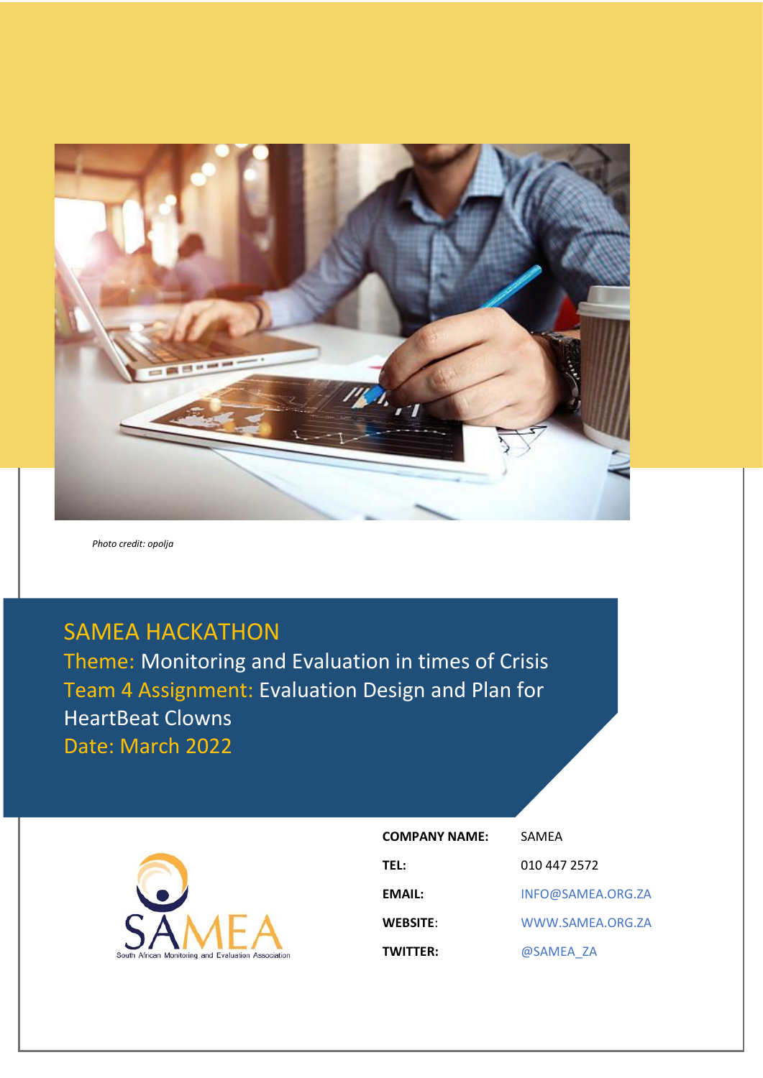

*Photo credit: opolja*

# SAMEA HACKATHON

Theme: Monitoring and Evaluation in times of Crisis Team 4 Assignment: Evaluation Design and Plan for HeartBeat Clowns Date: March 2022



| <b>COMPANY NAME:</b> | SAMEA             |
|----------------------|-------------------|
| <b>TEL:</b>          | 010 447 2572      |
| EMAIL:               | INFO@SAMEA.ORG.ZA |
| <b>WEBSITE:</b>      | WWW.SAMEA.ORG.ZA  |
| <b>TWITTER:</b>      | @SAMEA ZA         |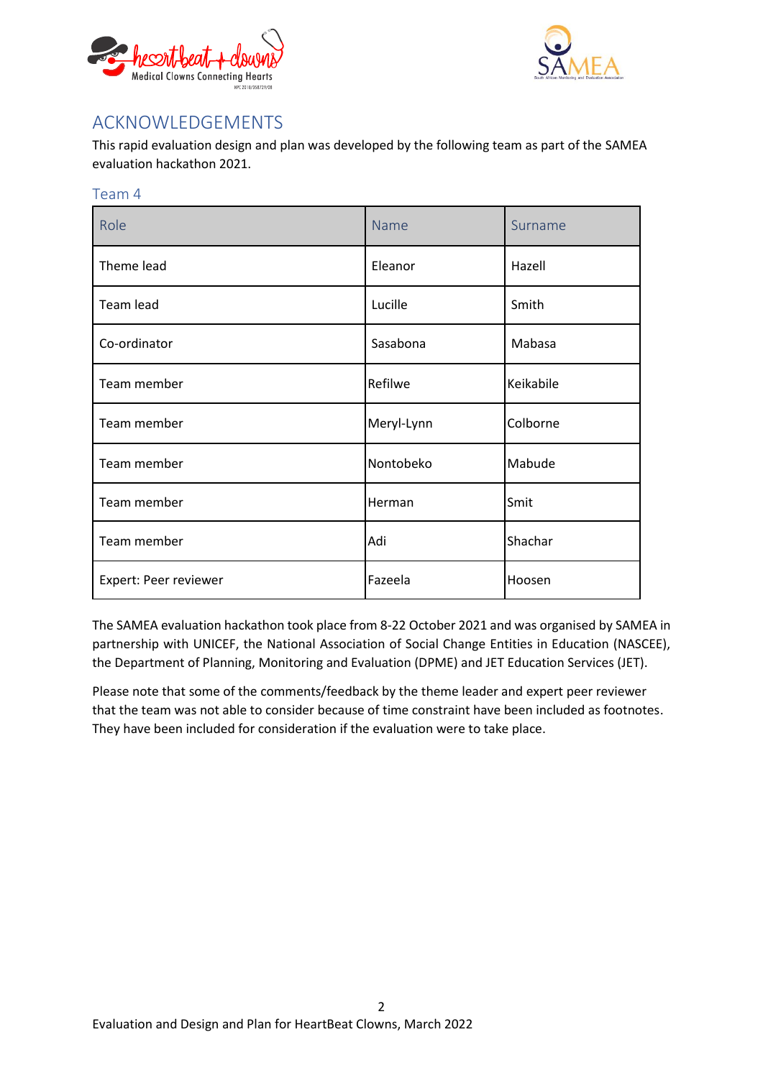



## <span id="page-1-0"></span>ACKNOWLEDGEMENTS

This rapid evaluation design and plan was developed by the following team as part of the SAMEA evaluation hackathon 2021.

| Team 4                |            |           |  |  |  |  |  |  |  |
|-----------------------|------------|-----------|--|--|--|--|--|--|--|
| Role                  | Name       | Surname   |  |  |  |  |  |  |  |
| Theme lead            | Eleanor    | Hazell    |  |  |  |  |  |  |  |
| Team lead             | Lucille    | Smith     |  |  |  |  |  |  |  |
| Co-ordinator          | Sasabona   | Mabasa    |  |  |  |  |  |  |  |
| Team member           | Refilwe    | Keikabile |  |  |  |  |  |  |  |
| Team member           | Meryl-Lynn | Colborne  |  |  |  |  |  |  |  |
| Team member           | Nontobeko  | Mabude    |  |  |  |  |  |  |  |
| Team member           | Herman     | Smit      |  |  |  |  |  |  |  |
| Team member           | Adi        | Shachar   |  |  |  |  |  |  |  |
| Expert: Peer reviewer | Fazeela    | Hoosen    |  |  |  |  |  |  |  |

The SAMEA evaluation hackathon took place from 8-22 October 2021 and was organised by SAMEA in partnership with UNICEF, the National Association of Social Change Entities in Education (NASCEE), the Department of Planning, Monitoring and Evaluation (DPME) and JET Education Services (JET).

Please note that some of the comments/feedback by the theme leader and expert peer reviewer that the team was not able to consider because of time constraint have been included as footnotes. They have been included for consideration if the evaluation were to take place.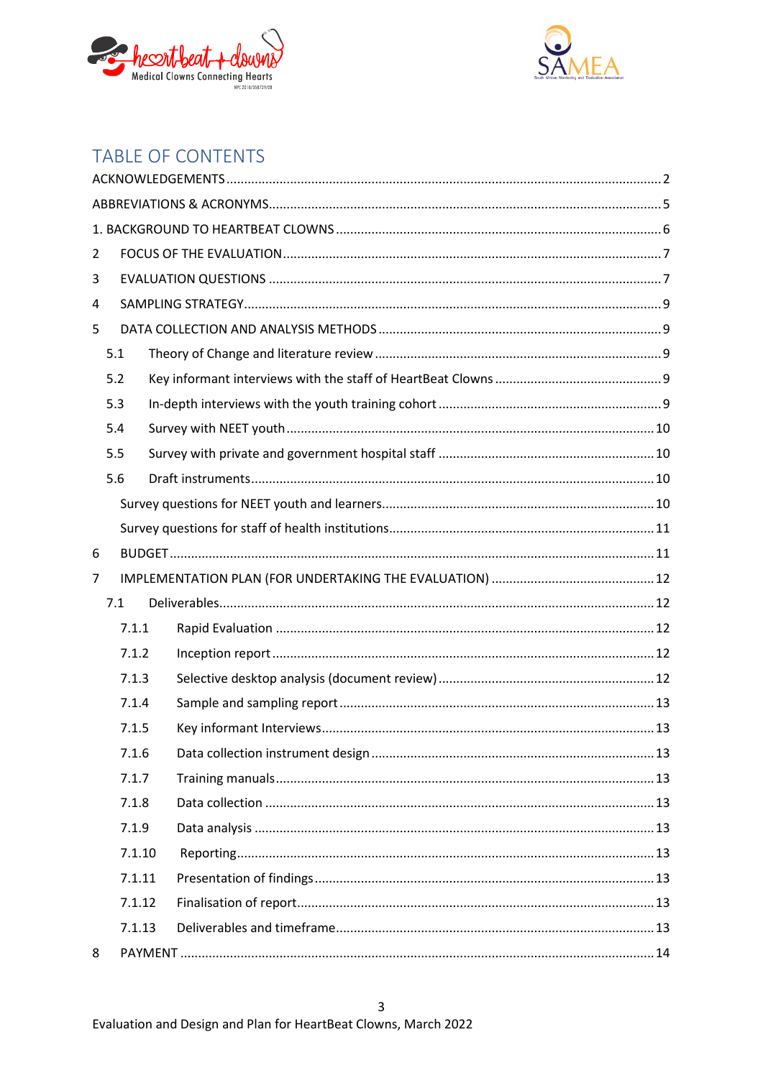



## TABLE OF CONTENTS

| 2              |        |  |
|----------------|--------|--|
| 3              |        |  |
| 4              |        |  |
| 5              |        |  |
|                | 5.1    |  |
|                | 5.2    |  |
|                | 5.3    |  |
|                | 5.4    |  |
|                | 5.5    |  |
|                | 5.6    |  |
|                |        |  |
|                |        |  |
| 6              |        |  |
| $\overline{7}$ |        |  |
|                | 7.1    |  |
|                | 7.1.1  |  |
|                | 7.1.2  |  |
|                | 7.1.3  |  |
|                | 7.1.4  |  |
|                | 7.1.5  |  |
|                | 7.1.6  |  |
|                | 7.1.7  |  |
|                | 7.1.8  |  |
|                | 7.1.9  |  |
|                | 7.1.10 |  |
|                | 7.1.11 |  |
|                | 7.1.12 |  |
|                | 7.1.13 |  |
| 8              |        |  |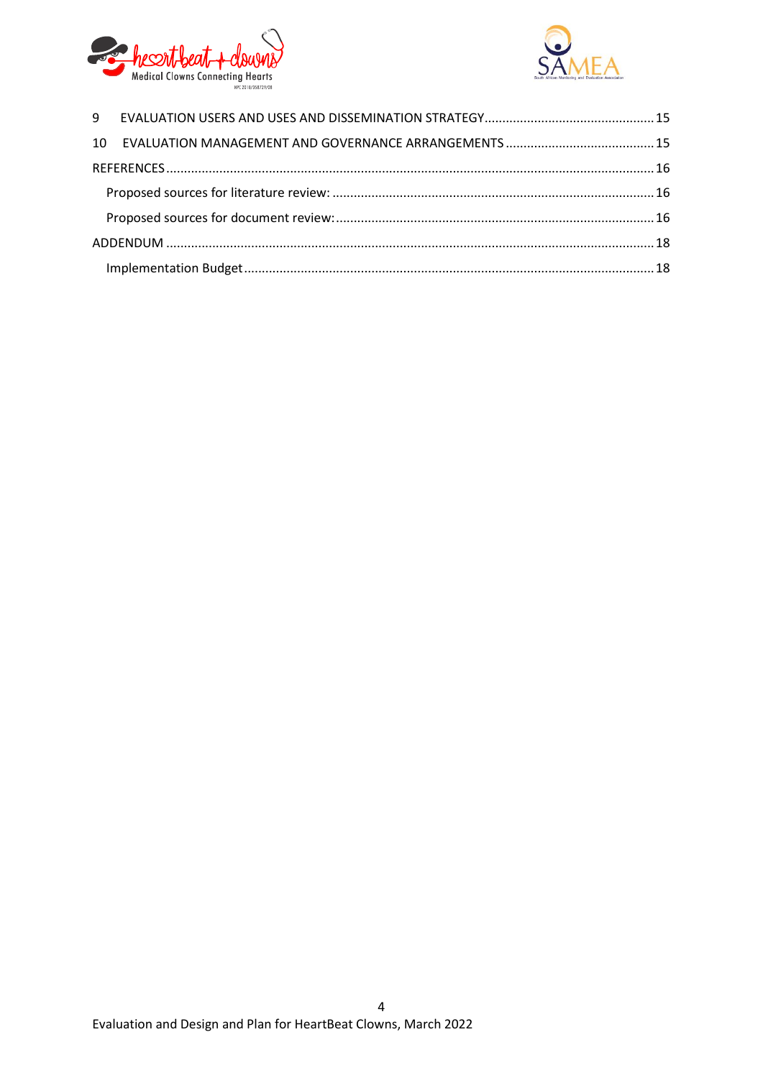

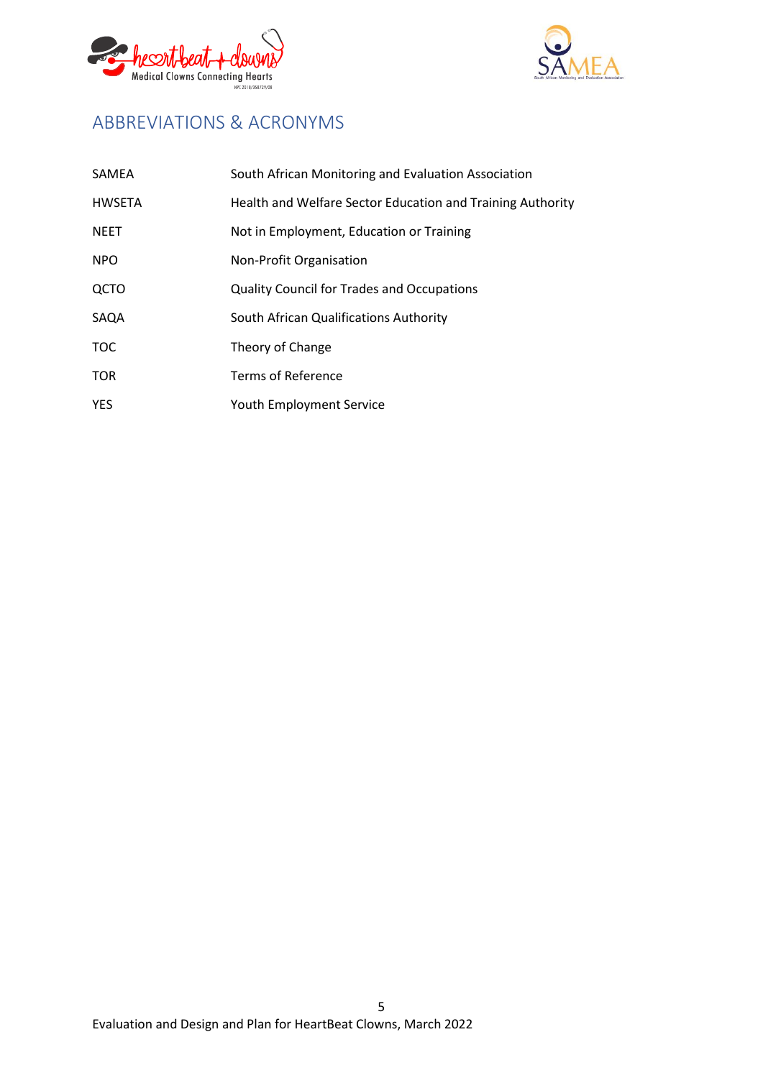



## <span id="page-4-0"></span>ABBREVIATIONS & ACRONYMS

| SAMEA         | South African Monitoring and Evaluation Association        |
|---------------|------------------------------------------------------------|
| <b>HWSETA</b> | Health and Welfare Sector Education and Training Authority |
| <b>NEET</b>   | Not in Employment, Education or Training                   |
| <b>NPO</b>    | Non-Profit Organisation                                    |
| QCTO          | <b>Quality Council for Trades and Occupations</b>          |
| SAQA          | South African Qualifications Authority                     |
| <b>TOC</b>    | Theory of Change                                           |
| <b>TOR</b>    | <b>Terms of Reference</b>                                  |
| <b>YES</b>    | Youth Employment Service                                   |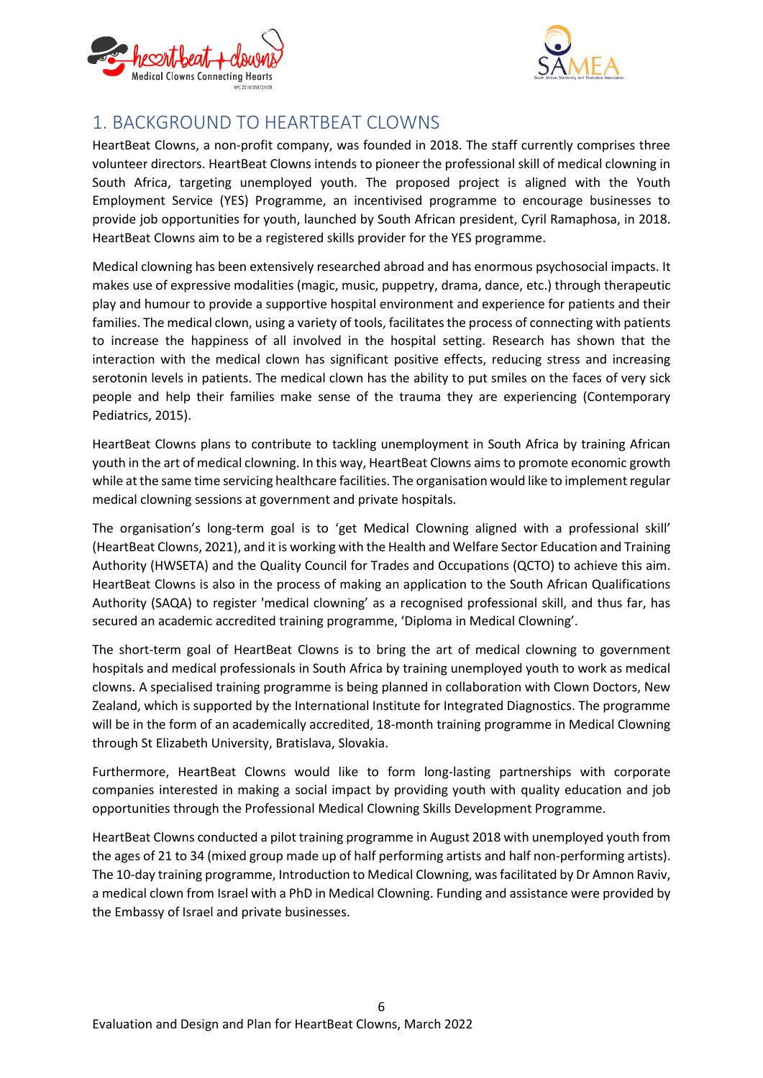



## <span id="page-5-0"></span>1. BACKGROUND TO HEARTBEAT CLOWNS

HeartBeat Clowns, a non-profit company, was founded in 2018. The staff currently comprises three volunteer directors. HeartBeat Clowns intends to pioneer the professional skill of medical clowning in South Africa, targeting unemployed youth. The proposed project is aligned with the Youth Employment Service (YES) Programme, an incentivised programme to encourage businesses to provide job opportunities for youth, launched by South African president, Cyril Ramaphosa, in 2018. HeartBeat Clowns aim to be a registered skills provider for the YES programme.

Medical clowning has been extensively researched abroad and has enormous psychosocial impacts. It makes use of expressive modalities (magic, music, puppetry, drama, dance, etc.) through therapeutic play and humour to provide a supportive hospital environment and experience for patients and their families. The medical clown, using a variety of tools, facilitates the process of connecting with patients to increase the happiness of all involved in the hospital setting. Research has shown that the interaction with the medical clown has significant positive effects, reducing stress and increasing serotonin levels in patients. The medical clown has the ability to put smiles on the faces of very sick people and help their families make sense of the trauma they are experiencing (Contemporary Pediatrics, 2015).

HeartBeat Clowns plans to contribute to tackling unemployment in South Africa by training African youth in the art of medical clowning. In this way, HeartBeat Clowns aims to promote economic growth while at the same time servicing healthcare facilities. The organisation would like to implement regular medical clowning sessions at government and private hospitals.

The organisation's long-term goal is to 'get Medical Clowning aligned with a professional skill' (HeartBeat Clowns, 2021), and it is working with the Health and Welfare Sector Education and Training Authority (HWSETA) and the Quality Council for Trades and Occupations (QCTO) to achieve this aim. HeartBeat Clowns is also in the process of making an application to the South African Qualifications Authority (SAQA) to register 'medical clowning' as a recognised professional skill, and thus far, has secured an academic accredited training programme, 'Diploma in Medical Clowning'.

The short-term goal of HeartBeat Clowns is to bring the art of medical clowning to government hospitals and medical professionals in South Africa by training unemployed youth to work as medical clowns. A specialised training programme is being planned in collaboration with Clown Doctors, New Zealand, which is supported by the International Institute for Integrated Diagnostics. The programme will be in the form of an academically accredited, 18-month training programme in Medical Clowning through St Elizabeth University, Bratislava, Slovakia.

Furthermore, HeartBeat Clowns would like to form long-lasting partnerships with corporate companies interested in making a social impact by providing youth with quality education and job opportunities through the Professional Medical Clowning Skills Development Programme.

HeartBeat Clowns conducted a pilot training programme in August 2018 with unemployed youth from the ages of 21 to 34 (mixed group made up of half performing artists and half non-performing artists). The 10-day training programme, Introduction to Medical Clowning, was facilitated by Dr Amnon Raviv, a medical clown from Israel with a PhD in Medical Clowning. Funding and assistance were provided by the Embassy of Israel and private businesses.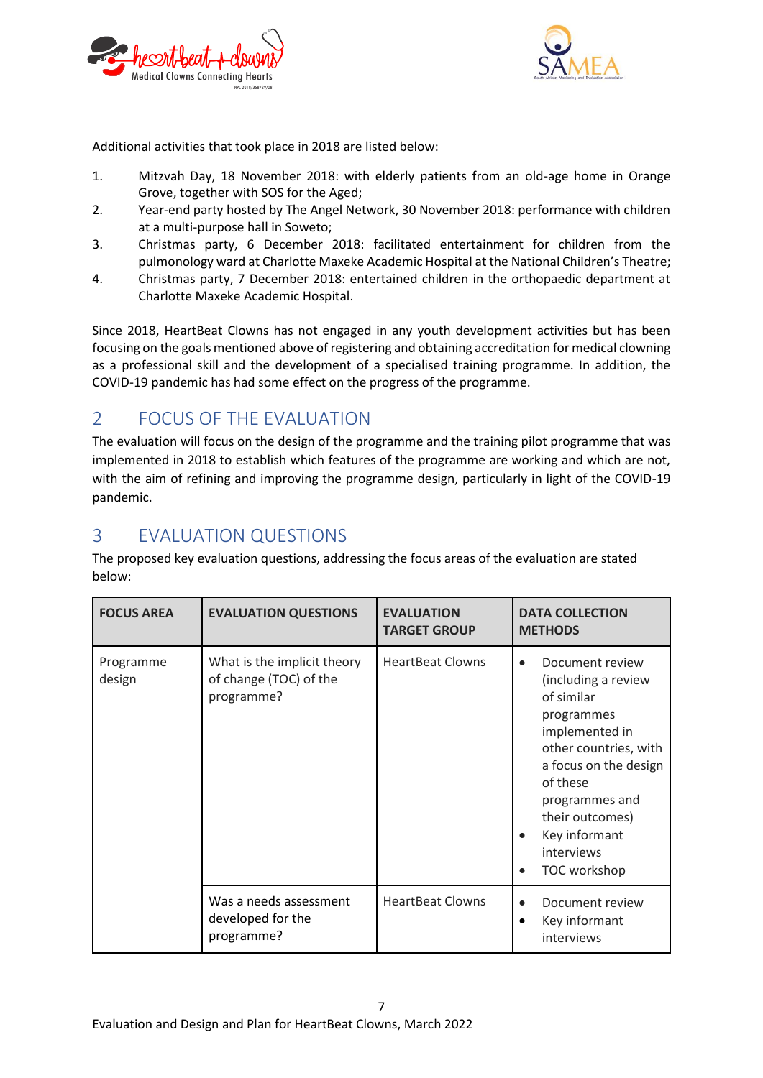



Additional activities that took place in 2018 are listed below:

- 1. Mitzvah Day, 18 November 2018: with elderly patients from an old-age home in Orange Grove, together with SOS for the Aged;
- 2. Year-end party hosted by The Angel Network, 30 November 2018: performance with children at a multi-purpose hall in Soweto;
- 3. Christmas party, 6 December 2018: facilitated entertainment for children from the pulmonology ward at Charlotte Maxeke Academic Hospital at the National Children's Theatre;
- 4. Christmas party, 7 December 2018: entertained children in the orthopaedic department at Charlotte Maxeke Academic Hospital.

Since 2018, HeartBeat Clowns has not engaged in any youth development activities but has been focusing on the goals mentioned above of registering and obtaining accreditation for medical clowning as a professional skill and the development of a specialised training programme. In addition, the COVID-19 pandemic has had some effect on the progress of the programme.

## <span id="page-6-0"></span>2 FOCUS OF THE EVALUATION

The evaluation will focus on the design of the programme and the training pilot programme that was implemented in 2018 to establish which features of the programme are working and which are not, with the aim of refining and improving the programme design, particularly in light of the COVID-19 pandemic.

## <span id="page-6-1"></span>3 EVALUATION QUESTIONS

The proposed key evaluation questions, addressing the focus areas of the evaluation are stated below:

| <b>FOCUS AREA</b>   | <b>EVALUATION QUESTIONS</b>                                         | <b>EVALUATION</b><br><b>TARGET GROUP</b> | <b>DATA COLLECTION</b><br><b>METHODS</b>                                                                                                                                                                                                                                      |
|---------------------|---------------------------------------------------------------------|------------------------------------------|-------------------------------------------------------------------------------------------------------------------------------------------------------------------------------------------------------------------------------------------------------------------------------|
| Programme<br>design | What is the implicit theory<br>of change (TOC) of the<br>programme? | <b>HeartBeat Clowns</b>                  | Document review<br>$\bullet$<br>(including a review<br>of similar<br>programmes<br>implemented in<br>other countries, with<br>a focus on the design<br>of these<br>programmes and<br>their outcomes)<br>Key informant<br>$\bullet$<br>interviews<br>TOC workshop<br>$\bullet$ |
|                     | Was a needs assessment<br>developed for the<br>programme?           | <b>HeartBeat Clowns</b>                  | Document review<br>$\bullet$<br>Key informant<br>$\bullet$<br>interviews                                                                                                                                                                                                      |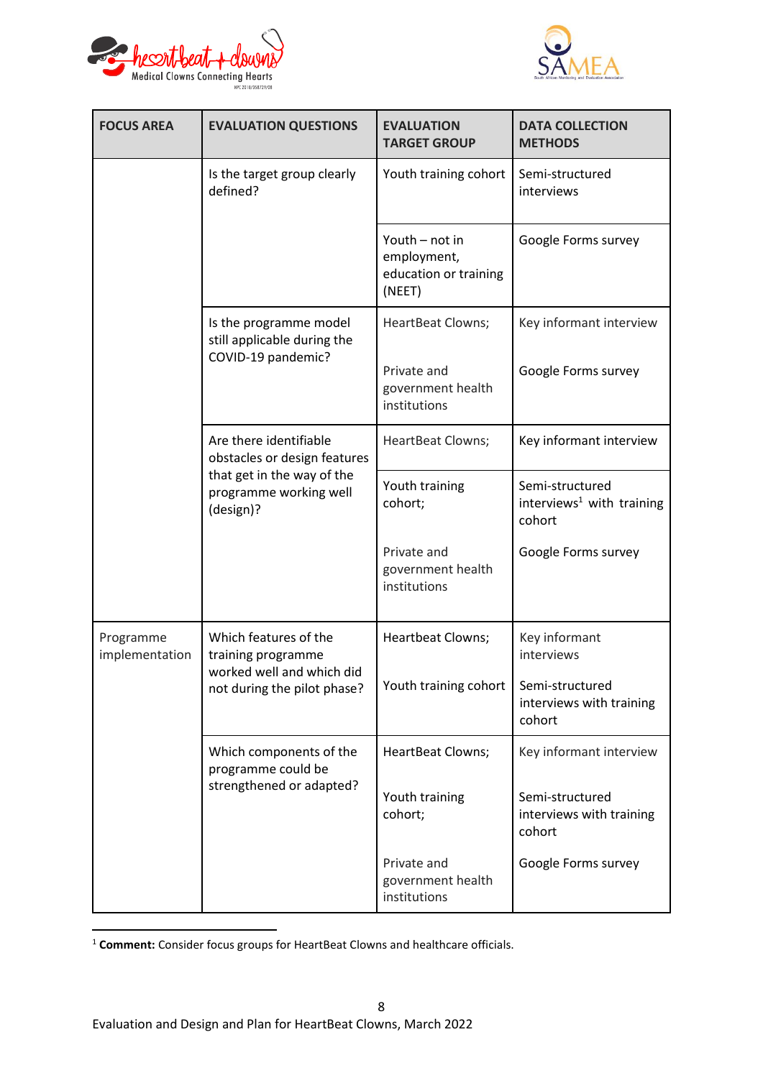



| <b>FOCUS AREA</b>           | <b>EVALUATION QUESTIONS</b>                                       | <b>EVALUATION</b><br><b>TARGET GROUP</b>                         | <b>DATA COLLECTION</b><br><b>METHODS</b>                           |  |  |
|-----------------------------|-------------------------------------------------------------------|------------------------------------------------------------------|--------------------------------------------------------------------|--|--|
|                             | Is the target group clearly<br>defined?                           | Youth training cohort                                            | Semi-structured<br>interviews                                      |  |  |
|                             |                                                                   | Youth - not in<br>employment,<br>education or training<br>(NEET) | Google Forms survey                                                |  |  |
|                             | Is the programme model<br>still applicable during the             | <b>HeartBeat Clowns;</b>                                         | Key informant interview                                            |  |  |
|                             | COVID-19 pandemic?                                                | Private and<br>government health<br>institutions                 | Google Forms survey                                                |  |  |
|                             | Are there identifiable<br>obstacles or design features            | HeartBeat Clowns;                                                | Key informant interview                                            |  |  |
|                             | that get in the way of the<br>programme working well<br>(design)? | Youth training<br>cohort;                                        | Semi-structured<br>interviews <sup>1</sup> with training<br>cohort |  |  |
|                             |                                                                   | Private and<br>government health<br>institutions                 | Google Forms survey                                                |  |  |
| Programme<br>implementation | Which features of the<br>training programme                       | Heartbeat Clowns;                                                | Key informant<br>interviews                                        |  |  |
|                             | worked well and which did<br>not during the pilot phase?          | Youth training cohort                                            | Semi-structured<br>interviews with training<br>cohort              |  |  |
|                             | Which components of the<br>programme could be                     | HeartBeat Clowns;                                                | Key informant interview                                            |  |  |
|                             | strengthened or adapted?                                          | Youth training<br>cohort;                                        | Semi-structured<br>interviews with training<br>cohort              |  |  |
|                             |                                                                   | Private and<br>government health<br>institutions                 | Google Forms survey                                                |  |  |

<sup>1</sup> **Comment:** Consider focus groups for HeartBeat Clowns and healthcare officials.

1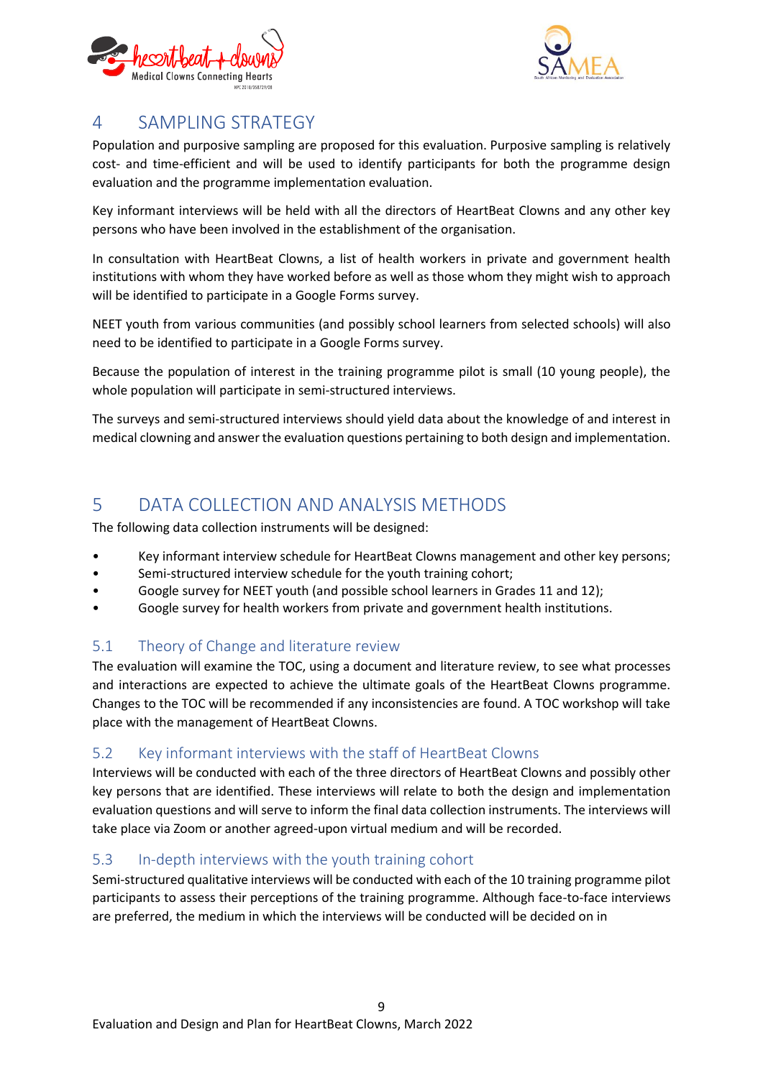



## <span id="page-8-0"></span>4 SAMPLING STRATEGY

Population and purposive sampling are proposed for this evaluation. Purposive sampling is relatively cost- and time-efficient and will be used to identify participants for both the programme design evaluation and the programme implementation evaluation.

Key informant interviews will be held with all the directors of HeartBeat Clowns and any other key persons who have been involved in the establishment of the organisation.

In consultation with HeartBeat Clowns, a list of health workers in private and government health institutions with whom they have worked before as well as those whom they might wish to approach will be identified to participate in a Google Forms survey.

NEET youth from various communities (and possibly school learners from selected schools) will also need to be identified to participate in a Google Forms survey.

Because the population of interest in the training programme pilot is small (10 young people), the whole population will participate in semi-structured interviews.

The surveys and semi-structured interviews should yield data about the knowledge of and interest in medical clowning and answer the evaluation questions pertaining to both design and implementation.

## <span id="page-8-1"></span>5 DATA COLLECTION AND ANALYSIS METHODS

The following data collection instruments will be designed:

- Key informant interview schedule for HeartBeat Clowns management and other key persons;
- Semi-structured interview schedule for the youth training cohort;
- Google survey for NEET youth (and possible school learners in Grades 11 and 12);
- Google survey for health workers from private and government health institutions.

## <span id="page-8-2"></span>5.1 Theory of Change and literature review

The evaluation will examine the TOC, using a document and literature review, to see what processes and interactions are expected to achieve the ultimate goals of the HeartBeat Clowns programme. Changes to the TOC will be recommended if any inconsistencies are found. A TOC workshop will take place with the management of HeartBeat Clowns.

### <span id="page-8-3"></span>5.2 Key informant interviews with the staff of HeartBeat Clowns

Interviews will be conducted with each of the three directors of HeartBeat Clowns and possibly other key persons that are identified. These interviews will relate to both the design and implementation evaluation questions and will serve to inform the final data collection instruments. The interviews will take place via Zoom or another agreed-upon virtual medium and will be recorded.

### <span id="page-8-4"></span>5.3 In-depth interviews with the youth training cohort

Semi-structured qualitative interviews will be conducted with each of the 10 training programme pilot participants to assess their perceptions of the training programme. Although face-to-face interviews are preferred, the medium in which the interviews will be conducted will be decided on in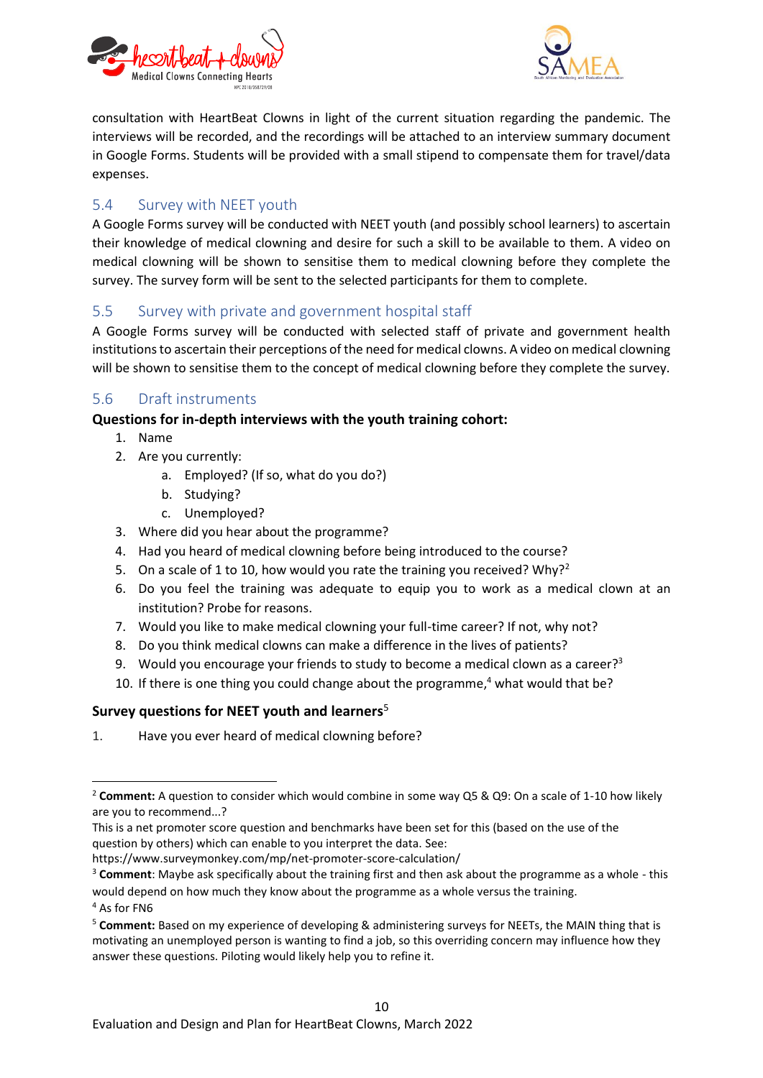



consultation with HeartBeat Clowns in light of the current situation regarding the pandemic. The interviews will be recorded, and the recordings will be attached to an interview summary document in Google Forms. Students will be provided with a small stipend to compensate them for travel/data expenses.

### <span id="page-9-0"></span>5.4 Survey with NEET youth

A Google Forms survey will be conducted with NEET youth (and possibly school learners) to ascertain their knowledge of medical clowning and desire for such a skill to be available to them. A video on medical clowning will be shown to sensitise them to medical clowning before they complete the survey. The survey form will be sent to the selected participants for them to complete.

### <span id="page-9-1"></span>5.5 Survey with private and government hospital staff

A Google Forms survey will be conducted with selected staff of private and government health institutions to ascertain their perceptions of the need for medical clowns. A video on medical clowning will be shown to sensitise them to the concept of medical clowning before they complete the survey.

### <span id="page-9-2"></span>5.6 Draft instruments

### **Questions for in-depth interviews with the youth training cohort:**

- 1. Name
- 2. Are you currently:
	- a. Employed? (If so, what do you do?)
	- b. Studying?
	- c. Unemployed?
- 3. Where did you hear about the programme?
- 4. Had you heard of medical clowning before being introduced to the course?
- 5. On a scale of 1 to 10, how would you rate the training you received? Why?<sup>2</sup>
- 6. Do you feel the training was adequate to equip you to work as a medical clown at an institution? Probe for reasons.
- 7. Would you like to make medical clowning your full-time career? If not, why not?
- 8. Do you think medical clowns can make a difference in the lives of patients?
- 9. Would you encourage your friends to study to become a medical clown as a career?<sup>3</sup>
- 10. If there is one thing you could change about the programme, <sup>4</sup> what would that be?

#### <span id="page-9-3"></span>**Survey questions for NEET youth and learners**<sup>5</sup>

1. Have you ever heard of medical clowning before?

<sup>4</sup> As for FN6

**.** 

<sup>2</sup> **Comment:** A question to consider which would combine in some way Q5 & Q9: On a scale of 1-10 how likely are you to recommend...?

This is a net promoter score question and benchmarks have been set for this (based on the use of the question by others) which can enable to you interpret the data. See:

https://www.surveymonkey.com/mp/net-promoter-score-calculation/

<sup>3</sup> **Comment**: Maybe ask specifically about the training first and then ask about the programme as a whole - this would depend on how much they know about the programme as a whole versus the training.

<sup>5</sup> **Comment:** Based on my experience of developing & administering surveys for NEETs, the MAIN thing that is motivating an unemployed person is wanting to find a job, so this overriding concern may influence how they answer these questions. Piloting would likely help you to refine it.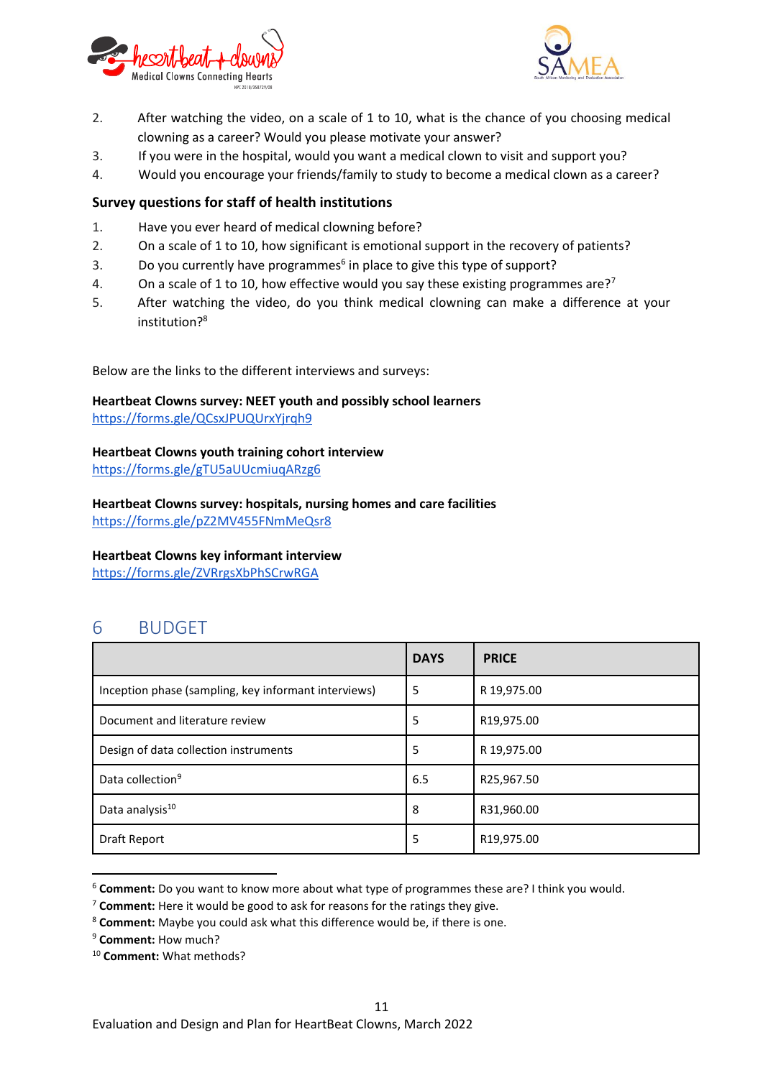



- 2. After watching the video, on a scale of 1 to 10, what is the chance of you choosing medical clowning as a career? Would you please motivate your answer?
- 3. If you were in the hospital, would you want a medical clown to visit and support you?
- 4. Would you encourage your friends/family to study to become a medical clown as a career?

#### <span id="page-10-0"></span>**Survey questions for staff of health institutions**

- 1. Have you ever heard of medical clowning before?
- 2. On a scale of 1 to 10, how significant is emotional support in the recovery of patients?
- 3. Do you currently have programmes<sup>6</sup> in place to give this type of support?
- 4. On a scale of 1 to 10, how effective would you say these existing programmes are?<sup>7</sup>
- 5. After watching the video, do you think medical clowning can make a difference at your institution?<sup>8</sup>

Below are the links to the different interviews and surveys:

**Heartbeat Clowns survey: NEET youth and possibly school learners** <https://forms.gle/QCsxJPUQUrxYjrqh9>

#### **Heartbeat Clowns youth training cohort interview**

<https://forms.gle/gTU5aUUcmiuqARzg6>

**Heartbeat Clowns survey: hospitals, nursing homes and care facilities** <https://forms.gle/pZ2MV455FNmMeQsr8>

#### **Heartbeat Clowns key informant interview**

<https://forms.gle/ZVRrgsXbPhSCrwRGA>

## <span id="page-10-1"></span>6 BUDGET

|                                                      | <b>DAYS</b> | <b>PRICE</b> |
|------------------------------------------------------|-------------|--------------|
| Inception phase (sampling, key informant interviews) | 5           | R 19,975.00  |
| Document and literature review                       | 5           | R19,975.00   |
| Design of data collection instruments                | 5           | R 19,975.00  |
| Data collection <sup>9</sup>                         | 6.5         | R25,967.50   |
| Data analysis <sup>10</sup>                          | 8           | R31,960.00   |
| Draft Report                                         | 5           | R19,975.00   |

<sup>6</sup> **Comment:** Do you want to know more about what type of programmes these are? I think you would.

**.** 

<sup>10</sup> **Comment:** What methods?

<sup>7</sup> **Comment:** Here it would be good to ask for reasons for the ratings they give.

<sup>8</sup> **Comment:** Maybe you could ask what this difference would be, if there is one.

<sup>9</sup> **Comment:** How much?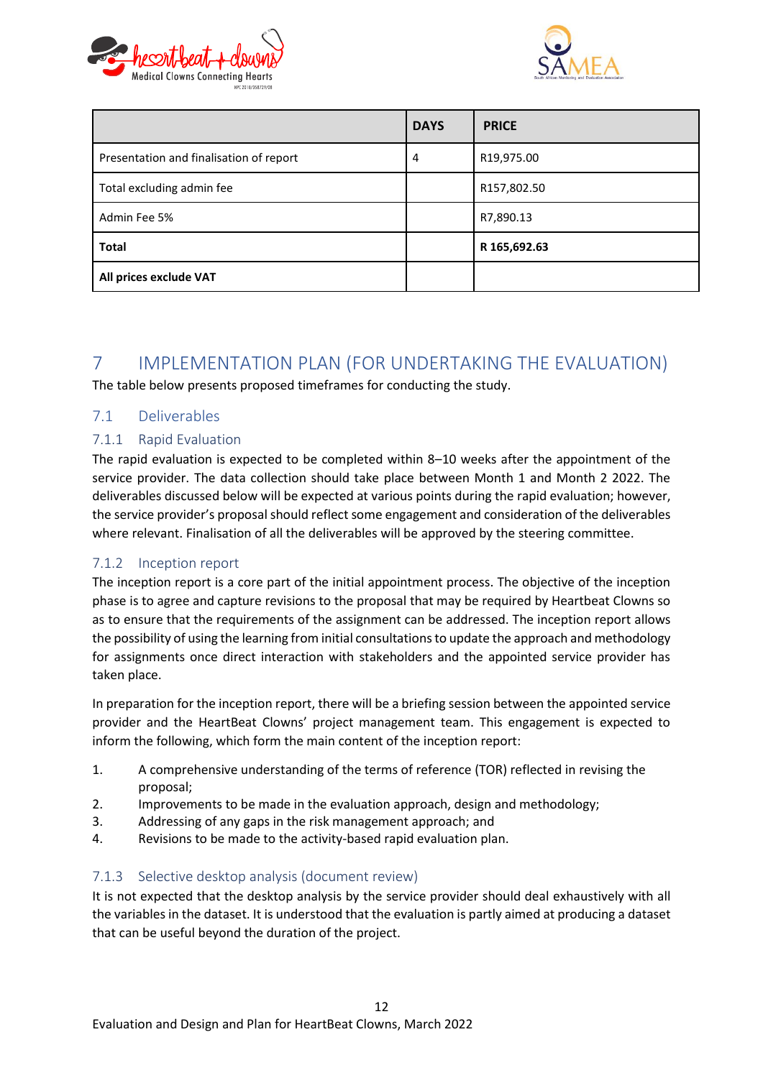



|                                         | <b>DAYS</b> | <b>PRICE</b> |
|-----------------------------------------|-------------|--------------|
| Presentation and finalisation of report | 4           | R19,975.00   |
| Total excluding admin fee               |             | R157,802.50  |
| Admin Fee 5%                            |             | R7,890.13    |
| <b>Total</b>                            |             | R 165,692.63 |
| All prices exclude VAT                  |             |              |

## <span id="page-11-0"></span>7 IMPLEMENTATION PLAN (FOR UNDERTAKING THE EVALUATION)

The table below presents proposed timeframes for conducting the study.

### <span id="page-11-1"></span>7.1 Deliverables

### <span id="page-11-2"></span>7.1.1 Rapid Evaluation

The rapid evaluation is expected to be completed within 8–10 weeks after the appointment of the service provider. The data collection should take place between Month 1 and Month 2 2022. The deliverables discussed below will be expected at various points during the rapid evaluation; however, the service provider's proposal should reflect some engagement and consideration of the deliverables where relevant. Finalisation of all the deliverables will be approved by the steering committee.

### <span id="page-11-3"></span>7.1.2 Inception report

The inception report is a core part of the initial appointment process. The objective of the inception phase is to agree and capture revisions to the proposal that may be required by Heartbeat Clowns so as to ensure that the requirements of the assignment can be addressed. The inception report allows the possibility of using the learning from initial consultations to update the approach and methodology for assignments once direct interaction with stakeholders and the appointed service provider has taken place.

In preparation for the inception report, there will be a briefing session between the appointed service provider and the HeartBeat Clowns' project management team. This engagement is expected to inform the following, which form the main content of the inception report:

- 1. A comprehensive understanding of the terms of reference (TOR) reflected in revising the proposal;
- 2. Improvements to be made in the evaluation approach, design and methodology;
- 3. Addressing of any gaps in the risk management approach; and
- 4. Revisions to be made to the activity-based rapid evaluation plan.

#### <span id="page-11-4"></span>7.1.3 Selective desktop analysis (document review)

It is not expected that the desktop analysis by the service provider should deal exhaustively with all the variables in the dataset. It is understood that the evaluation is partly aimed at producing a dataset that can be useful beyond the duration of the project.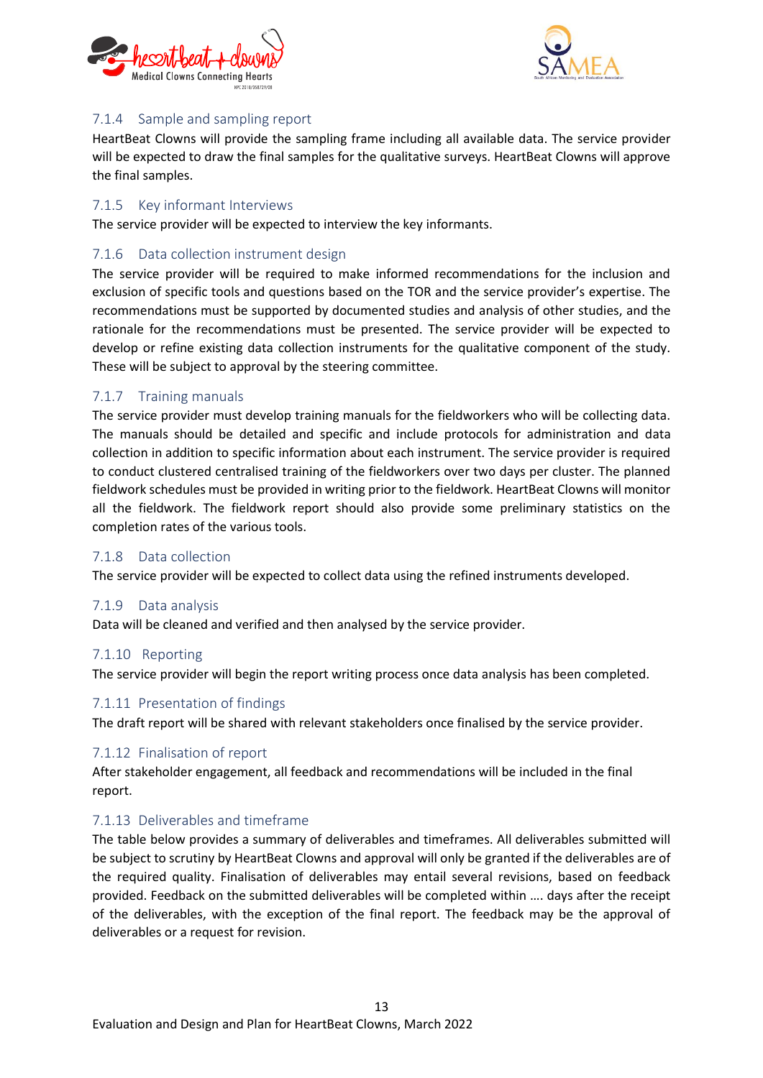



### <span id="page-12-0"></span>7.1.4 Sample and sampling report

HeartBeat Clowns will provide the sampling frame including all available data. The service provider will be expected to draw the final samples for the qualitative surveys. HeartBeat Clowns will approve the final samples.

### <span id="page-12-1"></span>7.1.5 Key informant Interviews

The service provider will be expected to interview the key informants.

### <span id="page-12-2"></span>7.1.6 Data collection instrument design

The service provider will be required to make informed recommendations for the inclusion and exclusion of specific tools and questions based on the TOR and the service provider's expertise. The recommendations must be supported by documented studies and analysis of other studies, and the rationale for the recommendations must be presented. The service provider will be expected to develop or refine existing data collection instruments for the qualitative component of the study. These will be subject to approval by the steering committee.

### <span id="page-12-3"></span>7.1.7 Training manuals

The service provider must develop training manuals for the fieldworkers who will be collecting data. The manuals should be detailed and specific and include protocols for administration and data collection in addition to specific information about each instrument. The service provider is required to conduct clustered centralised training of the fieldworkers over two days per cluster. The planned fieldwork schedules must be provided in writing prior to the fieldwork. HeartBeat Clowns will monitor all the fieldwork. The fieldwork report should also provide some preliminary statistics on the completion rates of the various tools.

#### <span id="page-12-4"></span>7.1.8 Data collection

The service provider will be expected to collect data using the refined instruments developed.

#### <span id="page-12-5"></span>7.1.9 Data analysis

Data will be cleaned and verified and then analysed by the service provider.

#### <span id="page-12-6"></span>7.1.10 Reporting

The service provider will begin the report writing process once data analysis has been completed.

#### <span id="page-12-7"></span>7.1.11 Presentation of findings

The draft report will be shared with relevant stakeholders once finalised by the service provider.

#### <span id="page-12-8"></span>7.1.12 Finalisation of report

After stakeholder engagement, all feedback and recommendations will be included in the final report.

#### <span id="page-12-9"></span>7.1.13 Deliverables and timeframe

The table below provides a summary of deliverables and timeframes. All deliverables submitted will be subject to scrutiny by HeartBeat Clowns and approval will only be granted if the deliverables are of the required quality. Finalisation of deliverables may entail several revisions, based on feedback provided. Feedback on the submitted deliverables will be completed within …. days after the receipt of the deliverables, with the exception of the final report. The feedback may be the approval of deliverables or a request for revision.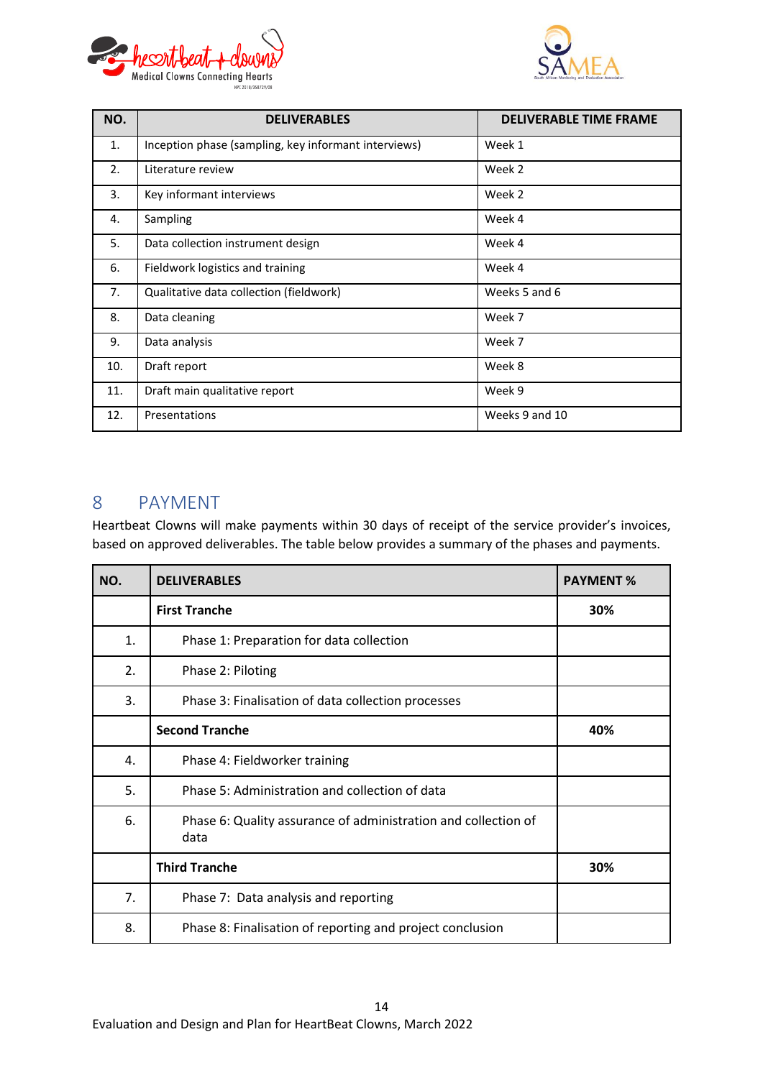



| NO. | <b>DELIVERABLES</b>                                  | <b>DELIVERABLE TIME FRAME</b> |
|-----|------------------------------------------------------|-------------------------------|
| 1.  | Inception phase (sampling, key informant interviews) | Week 1                        |
| 2.  | Literature review                                    | Week 2                        |
| 3.  | Key informant interviews                             | Week 2                        |
| 4.  | Sampling                                             | Week 4                        |
| 5.  | Data collection instrument design                    | Week 4                        |
| 6.  | Fieldwork logistics and training                     | Week 4                        |
| 7.  | Qualitative data collection (fieldwork)              | Weeks 5 and 6                 |
| 8.  | Data cleaning                                        | Week 7                        |
| 9.  | Data analysis                                        | Week 7                        |
| 10. | Draft report                                         | Week 8                        |
| 11. | Draft main qualitative report                        | Week 9                        |
| 12. | Presentations                                        | Weeks 9 and 10                |

## <span id="page-13-0"></span>8 PAYMENT

Heartbeat Clowns will make payments within 30 days of receipt of the service provider's invoices, based on approved deliverables. The table below provides a summary of the phases and payments.

| NO. | <b>DELIVERABLES</b>                                                    | <b>PAYMENT %</b> |  |  |
|-----|------------------------------------------------------------------------|------------------|--|--|
|     | <b>First Tranche</b>                                                   | 30%              |  |  |
| 1.  | Phase 1: Preparation for data collection                               |                  |  |  |
| 2.  | Phase 2: Piloting                                                      |                  |  |  |
| 3.  | Phase 3: Finalisation of data collection processes                     |                  |  |  |
|     | <b>Second Tranche</b>                                                  | 40%              |  |  |
| 4.  | Phase 4: Fieldworker training                                          |                  |  |  |
| 5.  | Phase 5: Administration and collection of data                         |                  |  |  |
| 6.  | Phase 6: Quality assurance of administration and collection of<br>data |                  |  |  |
|     | <b>Third Tranche</b>                                                   | 30%              |  |  |
| 7.  | Phase 7: Data analysis and reporting                                   |                  |  |  |
| 8.  | Phase 8: Finalisation of reporting and project conclusion              |                  |  |  |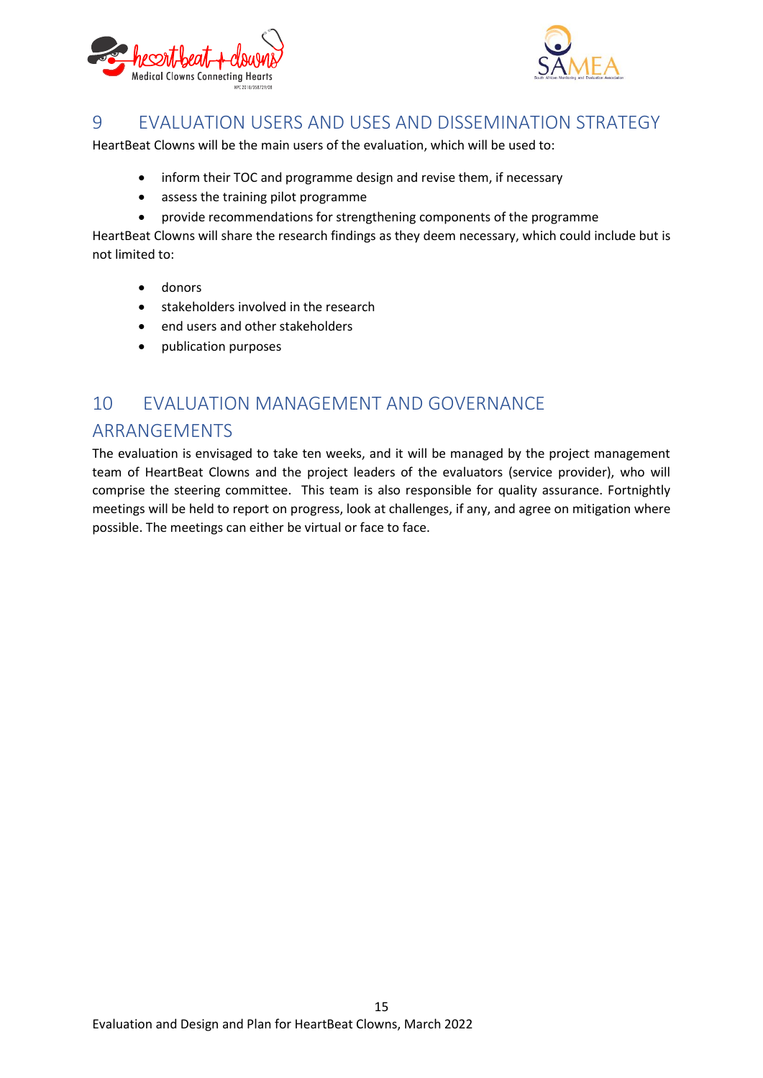



## <span id="page-14-0"></span>9 EVALUATION USERS AND USES AND DISSEMINATION STRATEGY

HeartBeat Clowns will be the main users of the evaluation, which will be used to:

- inform their TOC and programme design and revise them, if necessary
- assess the training pilot programme
- provide recommendations for strengthening components of the programme

HeartBeat Clowns will share the research findings as they deem necessary, which could include but is not limited to:

- donors
- stakeholders involved in the research
- end users and other stakeholders
- publication purposes

## <span id="page-14-1"></span>10 EVALUATION MANAGEMENT AND GOVERNANCE ARRANGEMENTS

The evaluation is envisaged to take ten weeks, and it will be managed by the project management team of HeartBeat Clowns and the project leaders of the evaluators (service provider), who will comprise the steering committee. This team is also responsible for quality assurance. Fortnightly meetings will be held to report on progress, look at challenges, if any, and agree on mitigation where possible. The meetings can either be virtual or face to face.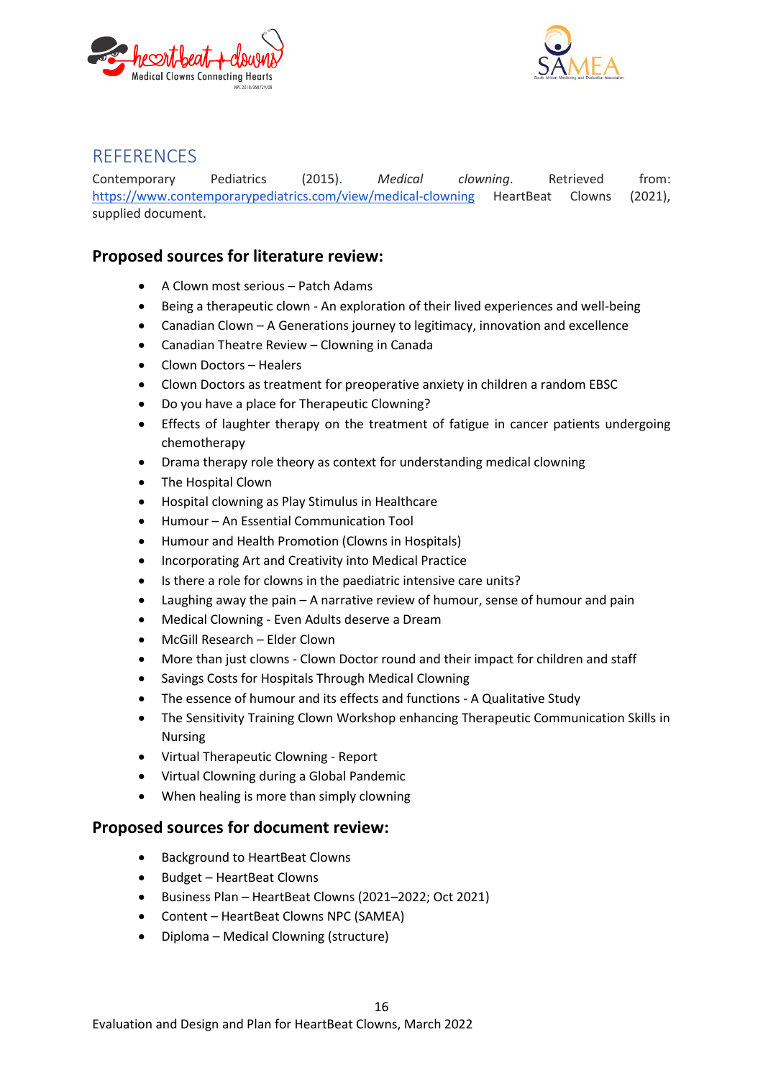



## <span id="page-15-0"></span>**REFERENCES**

Contemporary Pediatrics (2015). *Medical clowning*. Retrieved from[:](https://www.contemporarypediatrics.com/view/medical-clowning) <https://www.contemporarypediatrics.com/view/medical-clowning> HeartBeat Clowns (2021), supplied document.

## <span id="page-15-1"></span>**Proposed sources for literature review:**

- A Clown most serious Patch Adams
- Being a therapeutic clown An exploration of their lived experiences and well-being
- Canadian Clown A Generations journey to legitimacy, innovation and excellence
- Canadian Theatre Review Clowning in Canada
- Clown Doctors Healers
- Clown Doctors as treatment for preoperative anxiety in children a random EBSC
- Do you have a place for Therapeutic Clowning?
- Effects of laughter therapy on the treatment of fatigue in cancer patients undergoing chemotherapy
- Drama therapy role theory as context for understanding medical clowning
- The Hospital Clown
- Hospital clowning as Play Stimulus in Healthcare
- Humour An Essential Communication Tool
- Humour and Health Promotion (Clowns in Hospitals)
- Incorporating Art and Creativity into Medical Practice
- Is there a role for clowns in the paediatric intensive care units?
- Laughing away the pain A narrative review of humour, sense of humour and pain
- Medical Clowning Even Adults deserve a Dream
- McGill Research Elder Clown
- More than just clowns Clown Doctor round and their impact for children and staff
- Savings Costs for Hospitals Through Medical Clowning
- The essence of humour and its effects and functions A Qualitative Study
- The Sensitivity Training Clown Workshop enhancing Therapeutic Communication Skills in Nursing
- Virtual Therapeutic Clowning Report
- Virtual Clowning during a Global Pandemic
- When healing is more than simply clowning

#### <span id="page-15-2"></span>**Proposed sources for document review:**

- Background to HeartBeat Clowns
- Budget HeartBeat Clowns
- Business Plan HeartBeat Clowns (2021–2022; Oct 2021)
- Content HeartBeat Clowns NPC (SAMEA)
- Diploma Medical Clowning (structure)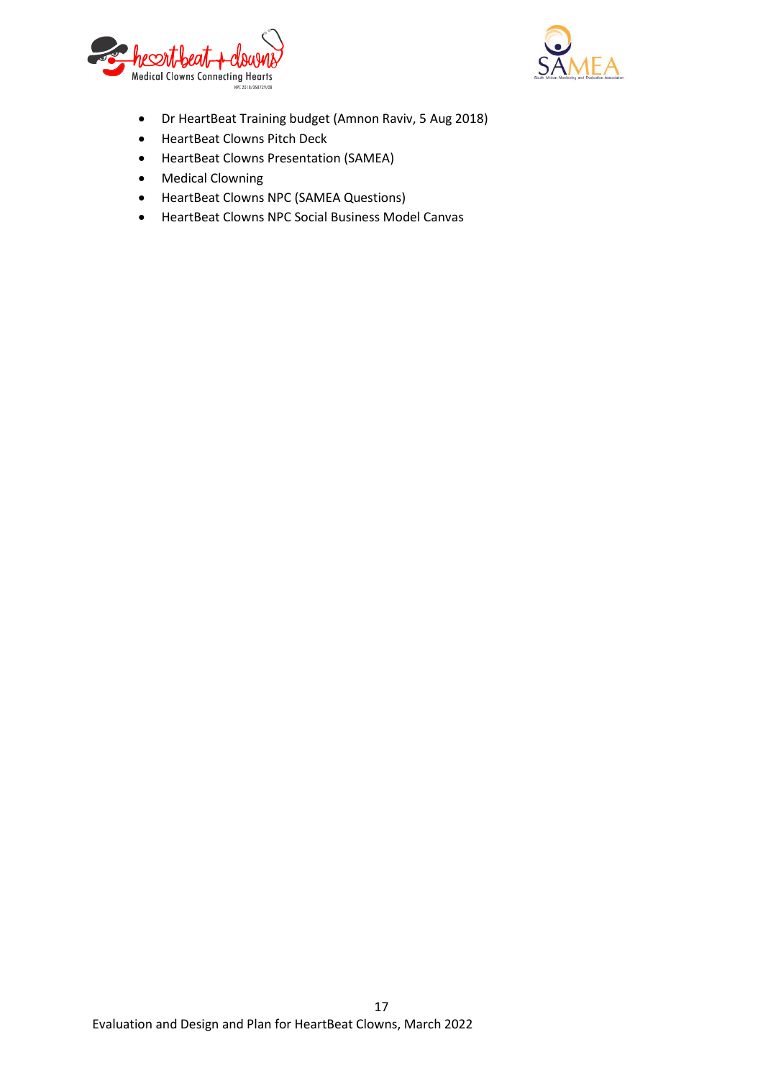



- Dr HeartBeat Training budget (Amnon Raviv, 5 Aug 2018)
- HeartBeat Clowns Pitch Deck
- HeartBeat Clowns Presentation (SAMEA)
- Medical Clowning
- HeartBeat Clowns NPC (SAMEA Questions)
- HeartBeat Clowns NPC Social Business Model Canvas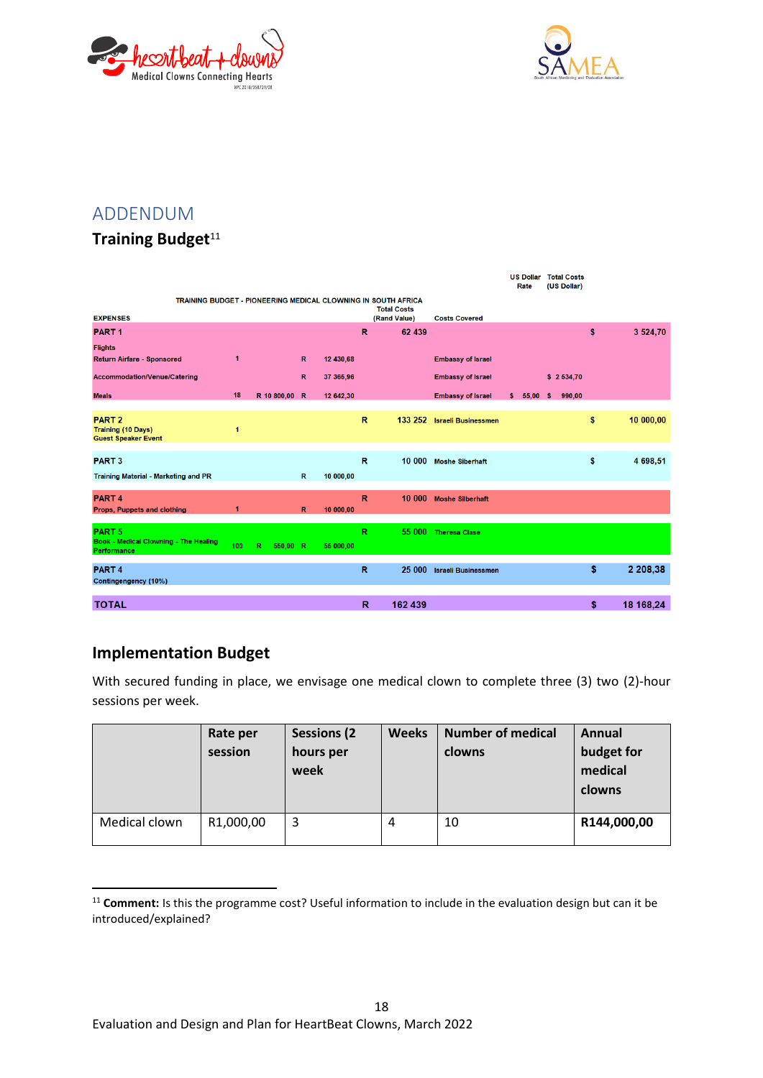



## <span id="page-17-0"></span>ADDENDUM

## **Training Budget**<sup>11</sup>

|                                                                              |                      |               |              |           |              |                    |                             | <b>US Dollar</b><br>Rate | <b>Total Costs</b><br>(US Dollar) |                 |
|------------------------------------------------------------------------------|----------------------|---------------|--------------|-----------|--------------|--------------------|-----------------------------|--------------------------|-----------------------------------|-----------------|
| TRAINING BUDGET - PIONEERING MEDICAL CLOWNING IN SOUTH AFRICA                |                      |               |              |           |              | <b>Total Costs</b> |                             |                          |                                   |                 |
| <b>EXPENSES</b>                                                              |                      |               |              |           |              | (Rand Value)       | <b>Costs Covered</b>        |                          |                                   |                 |
| <b>PART1</b>                                                                 |                      |               |              |           | R            | 62 439             |                             |                          |                                   | \$<br>3 524,70  |
| <b>Flights</b>                                                               |                      |               |              |           |              |                    |                             |                          |                                   |                 |
| Return Airfare - Sponsored                                                   | $\blacktriangleleft$ |               | $\mathbb{R}$ | 12 430,68 |              |                    | <b>Embassy of Israel</b>    |                          |                                   |                 |
| Accommodation/Venue/Catering                                                 |                      |               | $\mathbb{R}$ | 37 365,96 |              |                    | <b>Embassy of Israel</b>    |                          | \$2534,70                         |                 |
| <b>Meals</b>                                                                 | 18                   | R 10 800,00 R |              | 12 642,30 |              |                    | <b>Embassy of Israel</b>    | \$<br>55,00              | 990,00<br><b>S</b>                |                 |
| PART <sub>2</sub><br><b>Training (10 Days)</b><br><b>Guest Speaker Event</b> | $\mathbf{1}$         |               |              |           | $\mathbb{R}$ |                    | 133 252 Israeli Businessmen |                          |                                   | \$<br>10 000,00 |
| <b>PART3</b><br><b>Training Material - Marketing and PR</b>                  |                      |               | $\mathbb{R}$ | 10 000,00 | $\mathbb{R}$ |                    | 10 000 Moshe Siberhaft      |                          |                                   | \$<br>4 698,51  |
|                                                                              |                      |               |              |           |              |                    |                             |                          |                                   |                 |
| <b>PART4</b><br>Props, Puppets and clothing                                  | $\overline{1}$       |               | $\mathbb{R}$ | 10 000,00 | R            | 10 000             | <b>Moshe Silberhaft</b>     |                          |                                   |                 |
| PART <sub>5</sub>                                                            |                      |               |              |           |              | 55 000             |                             |                          |                                   |                 |
| Book - Medical Clowning - The Healing<br>Performance                         | 100                  | R<br>550,00 R |              | 55 000,00 | R            |                    | <b>Theresa Clase</b>        |                          |                                   |                 |
| PART <sub>4</sub><br>Contingengency (10%)                                    |                      |               |              |           | R            |                    | 25 000 Israeli Businessmen  |                          |                                   | \$<br>2 208,38  |
|                                                                              |                      |               |              |           |              |                    |                             |                          |                                   |                 |
| <b>TOTAL</b>                                                                 |                      |               |              |           | R            | 162 439            |                             |                          |                                   | \$<br>18 168,24 |

## <span id="page-17-1"></span>**Implementation Budget**

**.** 

With secured funding in place, we envisage one medical clown to complete three (3) two (2)-hour sessions per week.

|               | Rate per<br>session | <b>Sessions (2)</b><br>hours per<br>week | <b>Weeks</b> | <b>Number of medical</b><br>clowns | Annual<br>budget for<br>medical<br>clowns |
|---------------|---------------------|------------------------------------------|--------------|------------------------------------|-------------------------------------------|
| Medical clown | R1,000,00           | 3                                        | 4            | 10                                 | R144,000,00                               |

<sup>&</sup>lt;sup>11</sup> **Comment:** Is this the programme cost? Useful information to include in the evaluation design but can it be introduced/explained?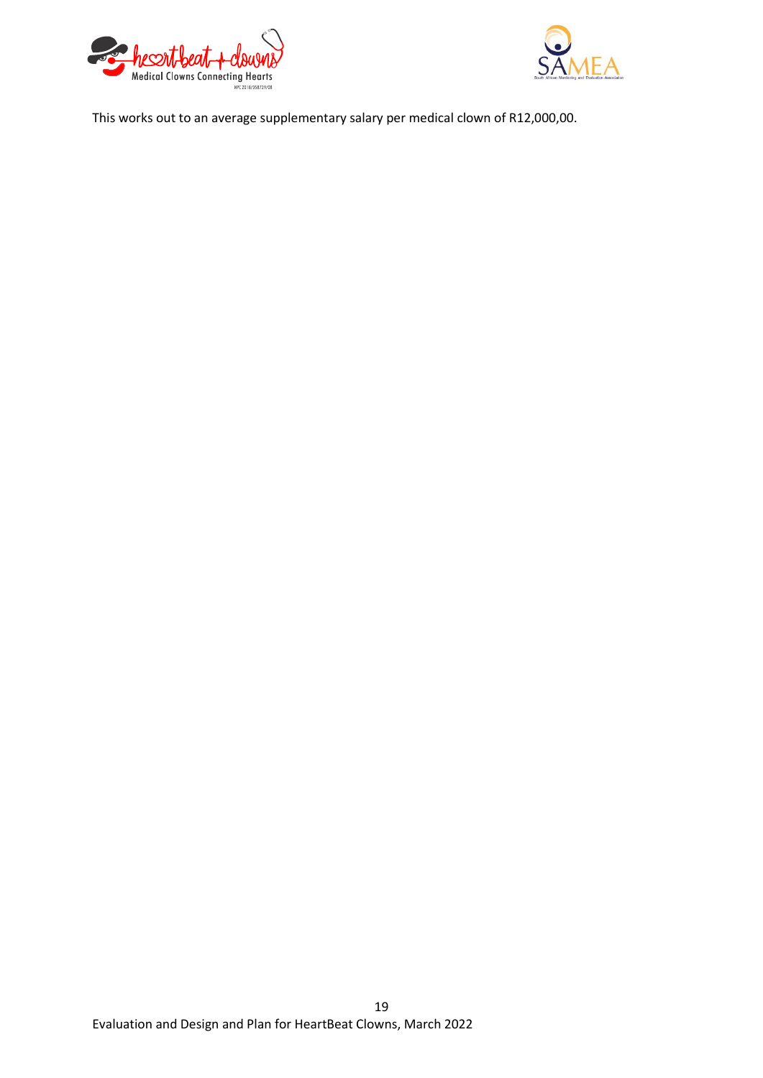



This works out to an average supplementary salary per medical clown of R12,000,00.